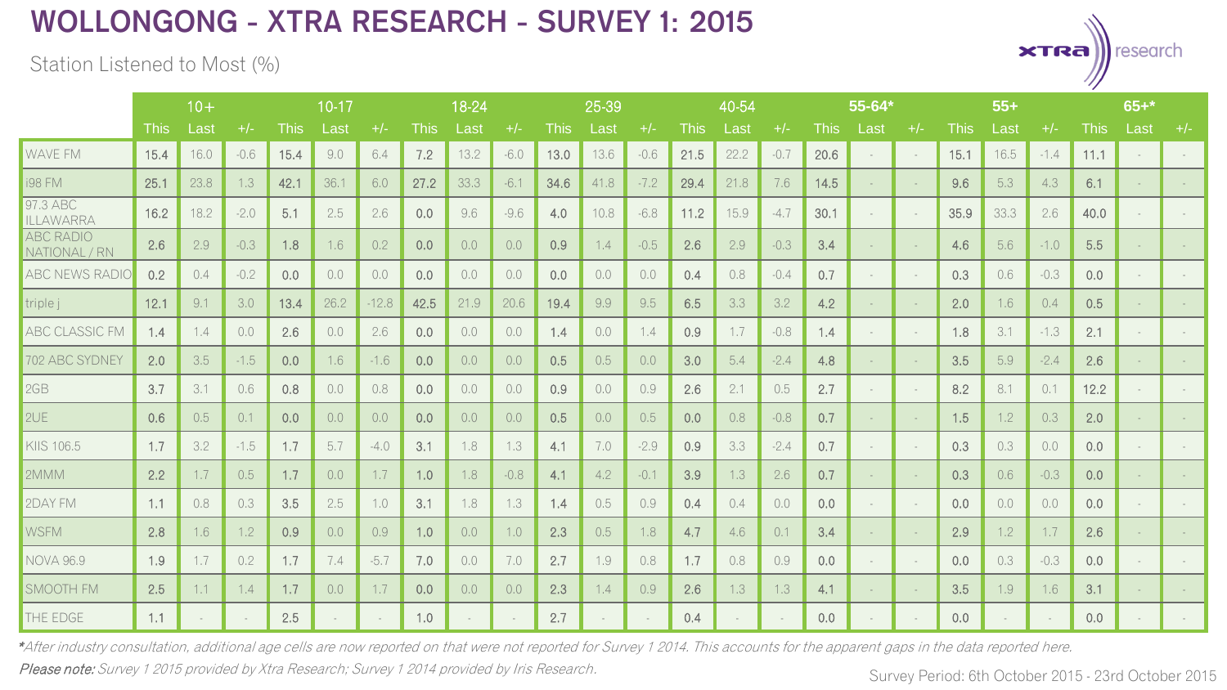Station Listened to Most (%)

|                                   | $10+$       |      |        |             | 10-17 |         |             | 18-24  | 25-39  |       |      | 40-54  |             |      | 55-64* |      |        | $55+$  |             |        | $65 +$ * |             |      |       |
|-----------------------------------|-------------|------|--------|-------------|-------|---------|-------------|--------|--------|-------|------|--------|-------------|------|--------|------|--------|--------|-------------|--------|----------|-------------|------|-------|
|                                   | <b>This</b> | Last | $+/-$  | <b>This</b> | Last  | $+/-$   | <b>This</b> | Last   | $+/-$  | This: | Last | $+/-$  | <b>This</b> | Last | $+/-$  | This | Last   | $+/-$  | <b>This</b> | Last   | $+/-$    | <b>This</b> | Last | $+/-$ |
| <b>WAVE FM</b>                    | 15.4        | 16.0 | $-0.6$ | 15.4        | 9.0   | 6.4     | 7.2         | 13.2   | $-6.0$ | 13.0  | 13.6 | $-0.6$ | 21.5        | 22.2 | $-0.7$ | 20.6 |        | $\sim$ | 15.1        | 16.5   | $-1.4$   | 11.1        |      |       |
| <b>i98 FM</b>                     | 25.1        | 23.8 | 1.3    | 42.1        | 36.1  | 6.0     | 27.2        | 33.3   | $-6.1$ | 34.6  | 41.8 | $-7.2$ | 29.4        | 21.8 | 7.6    | 14.5 |        | $\sim$ | 9.6         | 5.3    | 4.3      | 6.1         |      |       |
| 97.3 ABC<br><b>ILLAWARRA</b>      | 16.2        | 18.2 | $-2.0$ | 5.1         | 2.5   | 2.6     | 0.0         | 9.6    | $-9.6$ | 4.0   | 10.8 | $-6.8$ | 11.2        | 15.9 | $-4.7$ | 30.1 |        | $\sim$ | 35.9        | 33.3   | 2.6      | 40.0        |      |       |
| <b>ABC RADIO</b><br>NATIONAL / RN | 2.6         | 2.9  | $-0.3$ | 1.8         | 1.6   | 0.2     | 0.0         | 0.0    | 0.0    | 0.9   | 1.4  | $-0.5$ | 2.6         | 2.9  | $-0.3$ | 3.4  |        | $\sim$ | 4.6         | 5.6    | $-1.0$   | 5.5         |      |       |
| <b>ABC NEWS RADIO</b>             | 0.2         | 0.4  | $-0.2$ | 0.0         | 0.0   | 0.0     | 0.0         | 0.0    | 0.0    | 0.0   | 0.0  | 0.0    | 0.4         | 0.8  | $-0.4$ | 0.7  | $\sim$ | $\sim$ | 0.3         | 0.6    | $-0.3$   | 0.0         |      |       |
| triple j                          | 12.1        | 9.1  | 3.0    | 13.4        | 26.2  | $-12.8$ | 42.5        | 21.9   | 20.6   | 19.4  | 9.9  | 9.5    | 6.5         | 3.3  | 3.2    | 4.2  |        | $\sim$ | 2.0         | 1.6    | 0.4      | 0.5         |      |       |
| <b>ABC CLASSIC FM</b>             | 1.4         | 1.4  | 0.0    | 2.6         | 0.0   | 2.6     | 0.0         | 0.0    | 0.0    | 1.4   | 0.0  | 1.4    | 0.9         | 1.7  | $-0.8$ | 1.4  | $\sim$ | $\sim$ | 1.8         | 3.1    | $-1.3$   | 2.1         |      |       |
| 702 ABC SYDNEY                    | 2.0         | 3.5  | $-1.5$ | 0.0         | 1.6   | $-1.6$  | 0.0         | 0.0    | 0.0    | 0.5   | 0.5  | 0.0    | 3.0         | 5.4  | $-2.4$ | 4.8  |        | $\sim$ | 3.5         | 5.9    | $-2.4$   | 2.6         |      |       |
| 2GB                               | 3.7         | 3.1  | 0.6    | 0.8         | 0.0   | 0.8     | 0.0         | 0.0    | 0.0    | 0.9   | 0.0  | 0.9    | 2.6         | 2.1  | 0.5    | 2.7  |        | $\sim$ | 8.2         | 8.1    | 0.1      | 12.2        |      |       |
| 2UE                               | 0.6         | 0.5  | 0.1    | 0.0         | 0,0   | 0.0     | 0.0         | 0.0    | 0.0    | 0.5   | 0.0  | 0.5    | 0.0         | 0.8  | $-0.8$ | 0.7  |        | $\sim$ | 1.5         | 1.2    | 0.3      | 2.0         |      |       |
| KIIS 106.5                        | 1,7         | 3.2  | $-1.5$ | 1.7         | 5.7   | $-4.0$  | 3.1         | 1.8    | 1.3    | 4.1   | 7.0  | $-2.9$ | 0.9         | 3.3  | $-2.4$ | 0.7  |        | $\sim$ | 0.3         | 0.3    | 0.0      | 0.0         |      |       |
| 2MMM                              | 2.2         | 1.7  | 0.5    | 1.7         | 0.0   | 1.7     | 1.0         | 1.8    | $-0.8$ | 4.1   | 4.2  | $-0.1$ | 3.9         | 1.3  | 2.6    | 0.7  |        | $\sim$ | 0.3         | 0.6    | $-0.3$   | 0.0         |      |       |
| 2DAY FM                           | 1.1         | 0.8  | 0.3    | 3.5         | 2.5   | 1.0     | 3.1         | 1.8    | 1.3    | 1.4   | 0.5  | 0.9    | 0.4         | 0.4  | 0.0    | 0.0  |        | $\sim$ | 0.0         | 0.0    | 0.0      | 0.0         |      |       |
| <b>WSFM</b>                       | 2.8         | 1.6  | 1.2    | 0.9         | 0.0   | 0.9     | 1.0         | 0.0    | 1.0    | 2.3   | 0.5  | 1.8    | 4.7         | 4.6  | 0.1    | 3.4  |        | $\sim$ | 2.9         | 1.2    | 1.7      | 2.6         |      |       |
| <b>NOVA 96.9</b>                  | 1.9         | 1.7  | 0.2    | 1.7         | 7.4   | $-5.7$  | 7.0         | 0.0    | 7.0    | 2.7   | 1.9  | 0.8    | 1.7         | 0.8  | 0.9    | 0.0  |        | $\sim$ | 0.0         | 0.3    | $-0.3$   | 0.0         |      |       |
| SMOOTH FM                         | 2.5         | 1.1  | 1.4    | 1.7         | 0.0   | 1.7     | 0.0         | 0.0    | 0.0    | 2.3   | 1.4  | 0.9    | 2.6         | 1.3  | 1.3    | 4.1  |        | $\sim$ | 3.5         | 1.9    | 1.6      | 3.1         |      |       |
| THE EDGE                          | 1.1         |      | $\sim$ | 2.5         |       |         | 1.0         | $\sim$ |        | 2.7   |      | $\sim$ | 0.4         |      |        | 0.0  |        | $\sim$ | 0.0         | $\sim$ |          | 0.0         |      |       |

Please note: Survey 1 2015 provided by Xtra Research; Survey 1 2014 provided by Iris Research. \*After industry consultation, additional age cells are now reported on that were not reported for Survey 1 2014. This accounts for the apparent gaps in the data reported here.

Survey Period: 6th October 2015 - 23rd October 2015

 $x$ TRA

research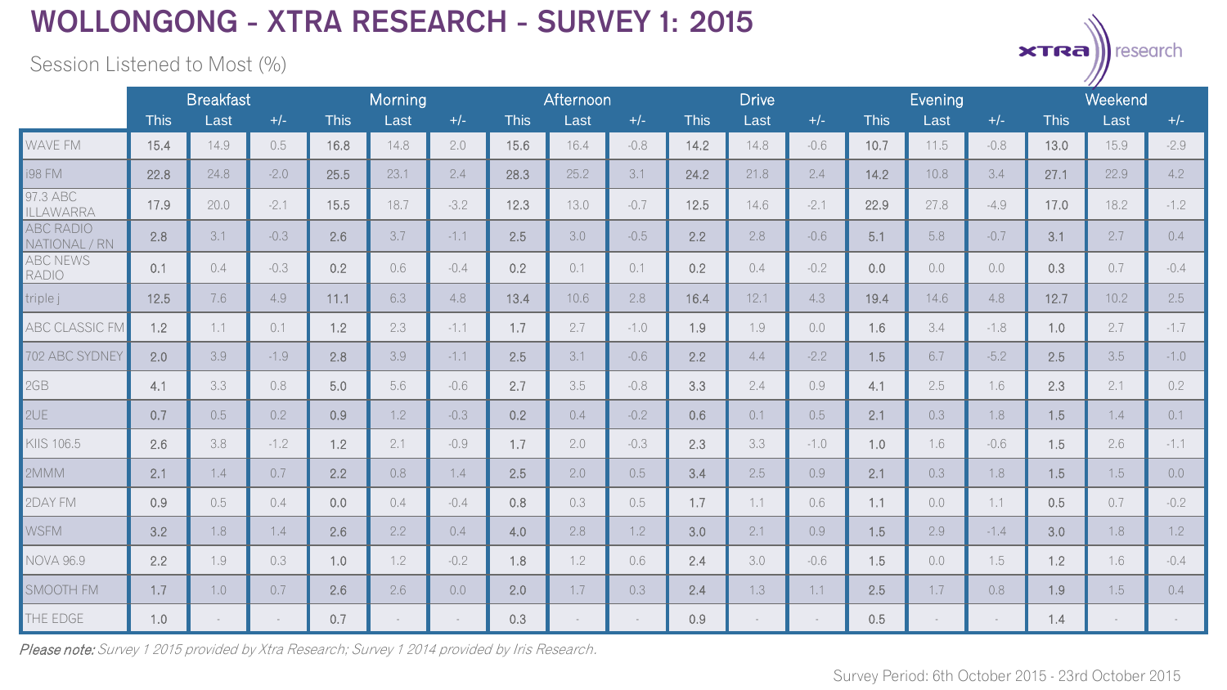Session Listened to Most (%)

|                                   | <b>Breakfast</b> |      |        | Morning     |      |        | Afternoon   |      |        | <b>Drive</b> |      |        | <b>Evening</b> |      |        | Weekend     |      |        |
|-----------------------------------|------------------|------|--------|-------------|------|--------|-------------|------|--------|--------------|------|--------|----------------|------|--------|-------------|------|--------|
|                                   | <b>This</b>      | Last | $+/-$  | <b>This</b> | Last | $+/-$  | <b>This</b> | Last | $+/-$  | <b>This</b>  | Last | $+/-$  | <b>This</b>    | Last | $+/-$  | <b>This</b> | Last | $+/-$  |
| WAVE FM                           | 15.4             | 14.9 | 0.5    | 16.8        | 14.8 | 2.0    | 15.6        | 16.4 | $-0.8$ | 14.2         | 14.8 | $-0.6$ | 10.7           | 11.5 | $-0.8$ | 13.0        | 15.9 | $-2.9$ |
| i98 FM                            | 22.8             | 24.8 | $-2.0$ | 25.5        | 23.1 | 2.4    | 28.3        | 25.2 | 3.1    | 24.2         | 21.8 | 2.4    | 14.2           | 10.8 | 3.4    | 27.1        | 22.9 | 4.2    |
| 97.3 ABC<br>ILLAWARRA             | 17.9             | 20.0 | $-2.1$ | 15.5        | 18.7 | $-3.2$ | 12.3        | 13.0 | $-0.7$ | 12.5         | 14.6 | $-2.1$ | 22.9           | 27.8 | $-4.9$ | 17.0        | 18.2 | $-1.2$ |
| <b>ABC RADIO</b><br>NATIONAL / RN | 2.8              | 3.1  | $-0.3$ | 2.6         | 3.7  | $-1.1$ | 2.5         | 3.0  | $-0.5$ | 2.2          | 2.8  | $-0.6$ | 5.1            | 5.8  | $-0.7$ | 3.1         | 2.7  | 0.4    |
| <b>ABC NEWS</b><br><b>RADIO</b>   | 0.1              | 0.4  | $-0.3$ | 0.2         | 0.6  | $-0.4$ | 0.2         | 0.1  | 0.1    | 0.2          | 0.4  | $-0.2$ | 0.0            | 0.0  | 0.0    | 0.3         | 0.7  | $-0.4$ |
| triple j                          | 12.5             | 7.6  | 4.9    | 11.1        | 6.3  | 4.8    | 13.4        | 10.6 | 2.8    | 16.4         | 12.1 | 4.3    | 19.4           | 14.6 | 4.8    | 12.7        | 10.2 | 2.5    |
| <b>ABC CLASSIC FM</b>             | 1.2              | 1.1  | 0.1    | 1.2         | 2.3  | $-1.1$ | 1.7         | 2.7  | $-1.0$ | 1.9          | 1.9  | 0,0    | 1.6            | 3.4  | $-1.8$ | 1.0         | 2.7  | $-1.7$ |
| 702 ABC SYDNEY                    | 2.0              | 3.9  | $-1.9$ | 2.8         | 3.9  | $-1.1$ | 2.5         | 3.1  | $-0.6$ | 2.2          | 4.4  | $-2.2$ | 1.5            | 6.7  | $-5.2$ | 2.5         | 3.5  | $-1.0$ |
| 2GB                               | 4.1              | 3.3  | 0.8    | 5.0         | 5.6  | $-0.6$ | 2.7         | 3.5  | $-0.8$ | 3.3          | 2.4  | 0.9    | 4.1            | 2.5  | 1.6    | 2.3         | 2.1  | 0.2    |
| 2UE                               | 0.7              | 0.5  | 0.2    | 0.9         | 1.2  | $-0.3$ | 0.2         | 0.4  | $-0.2$ | 0.6          | 0.1  | 0.5    | 2.1            | 0.3  | 1.8    | 1.5         | 1.4  | 0.1    |
| KIIS 106.5                        | 2.6              | 3.8  | $-1.2$ | 1.2         | 2.1  | $-0.9$ | 1.7         | 2.0  | $-0.3$ | 2.3          | 3.3  | $-1.0$ | 1.0            | 1.6  | $-0.6$ | 1.5         | 2.6  | $-1.1$ |
| 2MMM                              | 2.1              | 1.4  | 0.7    | 2.2         | 0.8  | 1.4    | 2.5         | 2.0  | 0.5    | 3.4          | 2.5  | 0.9    | 2.1            | 0.3  | 1.8    | 1.5         | 1.5  | 0.0    |
| 2DAY FM                           | 0.9              | 0.5  | 0.4    | 0.0         | 0.4  | $-0.4$ | 0.8         | 0.3  | 0.5    | 1.7          | 1.1  | 0.6    | 1.1            | 0.0  | 1.1    | 0.5         | 0.7  | $-0.2$ |
| <b>WSFM</b>                       | 3.2              | 1.8  | 1.4    | 2.6         | 2.2  | 0.4    | 4.0         | 2.8  | 1.2    | 3.0          | 2.1  | 0.9    | 1.5            | 2.9  | $-1.4$ | 3.0         | 1.8  | 1.2    |
| <b>NOVA 96.9</b>                  | 2.2              | 1.9  | 0.3    | 1.0         | 1.2  | $-0.2$ | 1.8         | 1.2  | 0.6    | 2.4          | 3.0  | $-0.6$ | 1.5            | 0.0  | 1.5    | 1.2         | 1.6  | $-0.4$ |
| SMOOTH FM                         | 1.7              | 1.0  | 0.7    | 2.6         | 2.6  | 0.0    | 2.0         | 1.7  | 0.3    | 2.4          | 1.3  | 1.1    | 2.5            | 1.7  | 0.8    | 1.9         | 1.5  | 0.4    |
| THE EDGE                          | 1.0              |      | $\sim$ | 0.7         |      |        | 0.3         |      |        | 0.9          |      | $\sim$ | 0.5            |      |        | 1.4         |      |        |

Please note: Survey 1 2015 provided by Xtra Research; Survey 1 2014 provided by Iris Research.

 $x$ TRa

research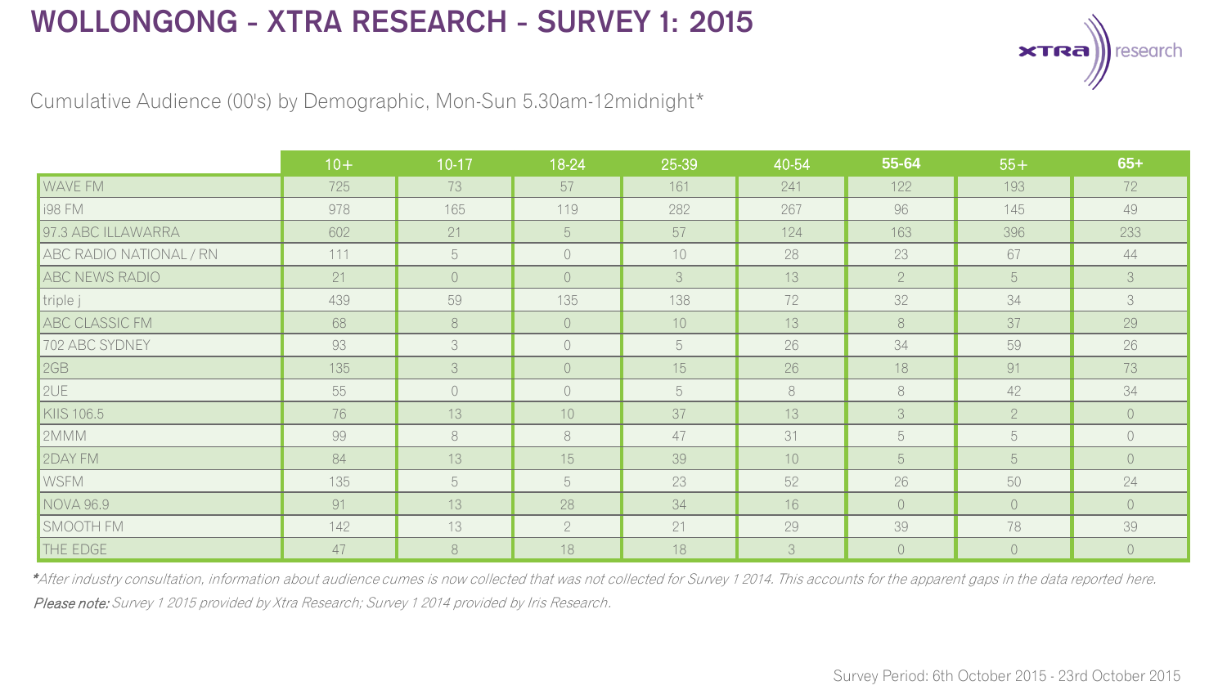

Cumulative Audience (00's) by Demographic, Mon-Sun 5.30am-12midnight\*

|                         | $10+$ | $10-17$ | 18-24          | 25-39 | 40-54 | 55-64          | $55+$       | $65+$          |
|-------------------------|-------|---------|----------------|-------|-------|----------------|-------------|----------------|
| <b>NAVE FM</b>          | 725   | 73      | 57             | 161   | 241   | 122            | 193         | 72             |
| <b>i98 FM</b>           | 978   | 165     | 119            | 282   | 267   | 96             | 145         | 49             |
| 97.3 ABC ILLAWARRA      | 602   | 21      | 5              | 57    | 124   | 163            | 396         | 233            |
| ABC RADIO NATIONAL / RN | 111   | 5       | $\bigcirc$     | 10    | 28    | 23             | 67          | 44             |
| ABC NEWS RADIO          | 21    | $\circ$ | $\circ$        | 3     | 13    | $\overline{2}$ | 5           | 3              |
| triple j                | 439   | 59      | 135            | 138   | 72    | 32             | 34          | 3              |
| ABC CLASSIC FM          | 68    | 8       | $\circ$        | 10    | 13    | 8              | 37          | 29             |
| 702 ABC SYDNEY          | 93    | 3       | $\bigcirc$     | 5     | 26    | 34             | 59          | 26             |
| <b>2GB</b>              | 135   | 3       | $\circ$        | 15    | 26    | 18             | 91          | 73             |
| 2UE                     | 55    | $\circ$ | $\bigcirc$     | 5     | 8     | 8              | 42          | 34             |
| KIIS 106.5              | 76    | 13      | 10             | 37    | 13    | 3              | $2^{\circ}$ | $\overline{0}$ |
| 2MMM                    | 99    | 8       | 8              | 47    | 31    | 5              | 5           | $\circ$        |
| 2DAY FM                 | 84    | 13      | 15             | 39    | 10    | 5              | 5           | $\overline{O}$ |
| <b>WSFM</b>             | 135   | 5       | 5              | 23    | 52    | 26             | 50          | 24             |
| NOVA 96.9               | 91    | 13      | 28             | 34    | 16    | $\circ$        | $\circ$     | $\circ$        |
| SMOOTH FM               | 142   | 13      | $\overline{2}$ | 21    | 29    | 39             | 78          | 39             |
| THE EDGE                | 47    | 8       | 18             | 18    | 3     | $\overline{0}$ | $\circ$     | $\circ$        |

Please note: Survey 1 2015 provided by Xtra Research; Survey 1 2014 provided by Iris Research. \*After industry consultation, information about audience cumes is now collected that was not collected for Survey 1 2014. This accounts for the apparent gaps in the data reported here.